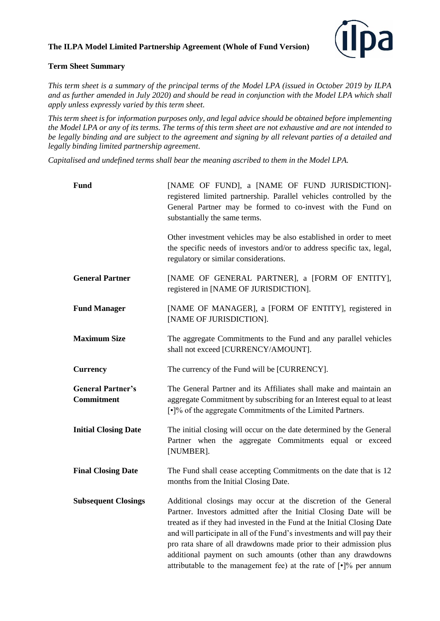## **The ILPA Model Limited Partnership Agreement (Whole of Fund Version)**



## **Term Sheet Summary**

*This term sheet is a summary of the principal terms of the Model LPA (issued in October 2019 by ILPA and as further amended in July 2020) and should be read in conjunction with the Model LPA which shall apply unless expressly varied by this term sheet.* 

*This term sheet is for information purposes only, and legal advice should be obtained before implementing the Model LPA or any of its terms. The terms of this term sheet are not exhaustive and are not intended to be legally binding and are subject to the agreement and signing by all relevant parties of a detailed and legally binding limited partnership agreement*.

*Capitalised and undefined terms shall bear the meaning ascribed to them in the Model LPA.* 

| <b>Fund</b>                                   | [NAME OF FUND], a [NAME OF FUND JURISDICTION]-<br>registered limited partnership. Parallel vehicles controlled by the<br>General Partner may be formed to co-invest with the Fund on<br>substantially the same terms.                                                                                                                                                                                                                                                                                         |
|-----------------------------------------------|---------------------------------------------------------------------------------------------------------------------------------------------------------------------------------------------------------------------------------------------------------------------------------------------------------------------------------------------------------------------------------------------------------------------------------------------------------------------------------------------------------------|
|                                               | Other investment vehicles may be also established in order to meet<br>the specific needs of investors and/or to address specific tax, legal,<br>regulatory or similar considerations.                                                                                                                                                                                                                                                                                                                         |
| <b>General Partner</b>                        | [NAME OF GENERAL PARTNER], a [FORM OF ENTITY],<br>registered in [NAME OF JURISDICTION].                                                                                                                                                                                                                                                                                                                                                                                                                       |
| <b>Fund Manager</b>                           | [NAME OF MANAGER], a [FORM OF ENTITY], registered in<br>[NAME OF JURISDICTION].                                                                                                                                                                                                                                                                                                                                                                                                                               |
| <b>Maximum Size</b>                           | The aggregate Commitments to the Fund and any parallel vehicles<br>shall not exceed [CURRENCY/AMOUNT].                                                                                                                                                                                                                                                                                                                                                                                                        |
| <b>Currency</b>                               | The currency of the Fund will be [CURRENCY].                                                                                                                                                                                                                                                                                                                                                                                                                                                                  |
| <b>General Partner's</b><br><b>Commitment</b> | The General Partner and its Affiliates shall make and maintain an<br>aggregate Commitment by subscribing for an Interest equal to at least<br>[.]% of the aggregate Commitments of the Limited Partners.                                                                                                                                                                                                                                                                                                      |
| <b>Initial Closing Date</b>                   | The initial closing will occur on the date determined by the General<br>Partner when the aggregate Commitments equal or exceed<br>[NUMBER].                                                                                                                                                                                                                                                                                                                                                                   |
| <b>Final Closing Date</b>                     | The Fund shall cease accepting Commitments on the date that is 12<br>months from the Initial Closing Date.                                                                                                                                                                                                                                                                                                                                                                                                    |
| <b>Subsequent Closings</b>                    | Additional closings may occur at the discretion of the General<br>Partner. Investors admitted after the Initial Closing Date will be<br>treated as if they had invested in the Fund at the Initial Closing Date<br>and will participate in all of the Fund's investments and will pay their<br>pro rata share of all drawdowns made prior to their admission plus<br>additional payment on such amounts (other than any drawdowns<br>attributable to the management fee) at the rate of $[\cdot]$ % per annum |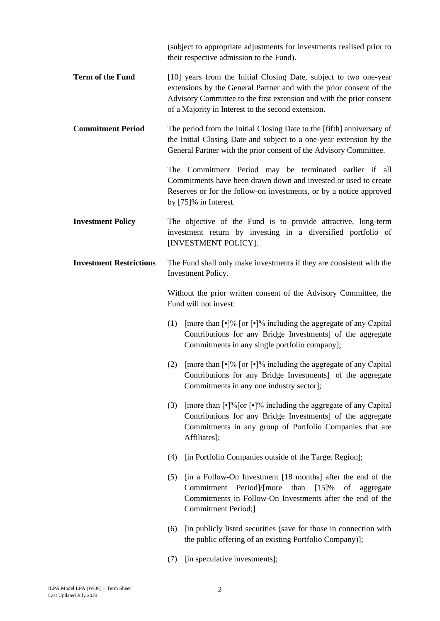(subject to appropriate adjustments for investments realised prior to their respective admission to the Fund).

- **Term of the Fund** [10] years from the Initial Closing Date, subject to two one-year extensions by the General Partner and with the prior consent of the Advisory Committee to the first extension and with the prior consent of a Majority in Interest to the second extension.
- **Commitment Period** The period from the Initial Closing Date to the [fifth] anniversary of the Initial Closing Date and subject to a one-year extension by the General Partner with the prior consent of the Advisory Committee.

The Commitment Period may be terminated earlier if all Commitments have been drawn down and invested or used to create Reserves or for the follow-on investments, or by a notice approved by [75]% in Interest.

**Investment Policy** The objective of the Fund is to provide attractive, long-term investment return by investing in a diversified portfolio of [INVESTMENT POLICY].

## **Investment Restrictions** The Fund shall only make investments if they are consistent with the Investment Policy.

Without the prior written consent of the Advisory Committee, the Fund will not invest:

- (1) [more than  $\lceil \cdot \rceil\%$  [or  $\lceil \cdot \rceil\%$  including the aggregate of any Capital Contributions for any Bridge Investments] of the aggregate Commitments in any single portfolio company];
- (2) [more than  $\lceil \cdot \rceil\%$  [or  $\lceil \cdot \rceil\%$  including the aggregate of any Capital Contributions for any Bridge Investments] of the aggregate Commitments in any one industry sector];
- (3) [more than  $\lceil \cdot \rceil\frac{9}{6}$  or  $\lceil \cdot \rceil\frac{9}{6}$  including the aggregate of any Capital Contributions for any Bridge Investments] of the aggregate Commitments in any group of Portfolio Companies that are Affiliates];
- (4) [in Portfolio Companies outside of the Target Region];
- (5) [in a Follow-On Investment [18 months] after the end of the Commitment Period]/[more than [15]% of aggregate Commitments in Follow-On Investments after the end of the Commitment Period;]
- (6) [in publicly listed securities (save for those in connection with the public offering of an existing Portfolio Company)];
- (7) [in speculative investments];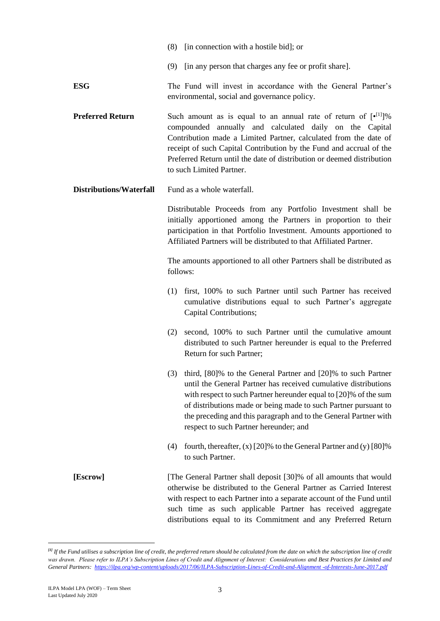- (9) [in any person that charges any fee or profit share].
- **ESG** The Fund will invest in accordance with the General Partner's environmental, social and governance policy.
- **Preferred Return** Such amount as is equal to an annual rate of return of  $[e^{[1]}]\%$ compounded annually and calculated daily on the Capital Contribution made a Limited Partner, calculated from the date of receipt of such Capital Contribution by the Fund and accrual of the Preferred Return until the date of distribution or deemed distribution to such Limited Partner.
- **Distributions/Waterfall** Fund as a whole waterfall.

Distributable Proceeds from any Portfolio Investment shall be initially apportioned among the Partners in proportion to their participation in that Portfolio Investment. Amounts apportioned to Affiliated Partners will be distributed to that Affiliated Partner.

The amounts apportioned to all other Partners shall be distributed as follows:

- (1) first, 100% to such Partner until such Partner has received cumulative distributions equal to such Partner's aggregate Capital Contributions;
- (2) second, 100% to such Partner until the cumulative amount distributed to such Partner hereunder is equal to the Preferred Return for such Partner;
- (3) third, [80]% to the General Partner and [20]% to such Partner until the General Partner has received cumulative distributions with respect to such Partner hereunder equal to [20]% of the sum of distributions made or being made to such Partner pursuant to the preceding and this paragraph and to the General Partner with respect to such Partner hereunder; and
- (4) fourth, thereafter,  $(x)$  [20]% to the General Partner and  $(y)$  [80]% to such Partner.
- **[Escrow]** [The General Partner shall deposit [30]% of all amounts that would otherwise be distributed to the General Partner as Carried Interest with respect to each Partner into a separate account of the Fund until such time as such applicable Partner has received aggregate distributions equal to its Commitment and any Preferred Return

<sup>&</sup>lt;sup>[1]</sup> If the Fund utilises a subscription line of credit, the preferred return should be calculated from the date on which the subscription line of credit was drawn. Please refer to ILPA's Subscription Lines of Credit and Alignment of Interest: Considerations and Best Practices for Limited and *General Partners: [https://ilpa.org/wp-content/uploads/2017/06/ILPA-Subscription-Lines-of-Credit-and-Alignment -of-Interests-June-2017.pdf](https://ilpa.org/wp-content/uploads/2017/06/ILPA-Subscription-Lines-of-Credit-and-Alignment%20-of-Interests-June-2017.pdf)*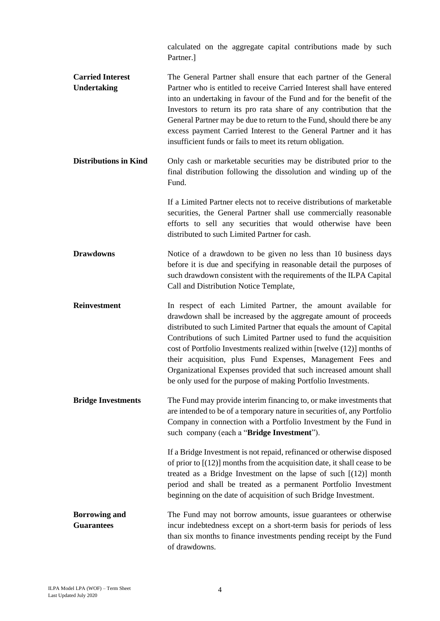calculated on the aggregate capital contributions made by such Partner.]

**Carried Interest Undertaking** The General Partner shall ensure that each partner of the General Partner who is entitled to receive Carried Interest shall have entered into an undertaking in favour of the Fund and for the benefit of the Investors to return its pro rata share of any contribution that the General Partner may be due to return to the Fund, should there be any excess payment Carried Interest to the General Partner and it has insufficient funds or fails to meet its return obligation.

**Distributions in Kind** Only cash or marketable securities may be distributed prior to the final distribution following the dissolution and winding up of the Fund.

> If a Limited Partner elects not to receive distributions of marketable securities, the General Partner shall use commercially reasonable efforts to sell any securities that would otherwise have been distributed to such Limited Partner for cash.

**Drawdowns** Notice of a drawdown to be given no less than 10 business days before it is due and specifying in reasonable detail the purposes of such drawdown consistent with the requirements of the ILPA Capital Call and Distribution Notice Template,

**Reinvestment** In respect of each Limited Partner, the amount available for drawdown shall be increased by the aggregate amount of proceeds distributed to such Limited Partner that equals the amount of Capital Contributions of such Limited Partner used to fund the acquisition cost of Portfolio Investments realized within [twelve (12)] months of their acquisition, plus Fund Expenses, Management Fees and Organizational Expenses provided that such increased amount shall be only used for the purpose of making Portfolio Investments.

**Bridge Investments** The Fund may provide interim financing to, or make investments that are intended to be of a temporary nature in securities of, any Portfolio Company in connection with a Portfolio Investment by the Fund in such company (each a "**Bridge Investment**").

> If a Bridge Investment is not repaid, refinanced or otherwise disposed of prior to [(12)] months from the acquisition date, it shall cease to be treated as a Bridge Investment on the lapse of such [(12)] month period and shall be treated as a permanent Portfolio Investment beginning on the date of acquisition of such Bridge Investment.

**Borrowing and Guarantees** The Fund may not borrow amounts, issue guarantees or otherwise incur indebtedness except on a short-term basis for periods of less than six months to finance investments pending receipt by the Fund of drawdowns.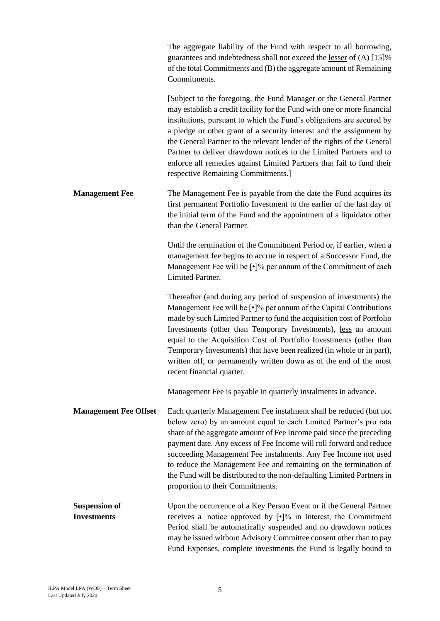|                                            | The aggregate liability of the Fund with respect to all borrowing,<br>guarantees and indebtedness shall not exceed the <u>lesser</u> of (A) [15]%<br>of the total Commitments and (B) the aggregate amount of Remaining<br>Commitments.                                                                                                                                                                                                                                                                                                                        |
|--------------------------------------------|----------------------------------------------------------------------------------------------------------------------------------------------------------------------------------------------------------------------------------------------------------------------------------------------------------------------------------------------------------------------------------------------------------------------------------------------------------------------------------------------------------------------------------------------------------------|
|                                            | [Subject to the foregoing, the Fund Manager or the General Partner<br>may establish a credit facility for the Fund with one or more financial<br>institutions, pursuant to which the Fund's obligations are secured by<br>a pledge or other grant of a security interest and the assignment by<br>the General Partner to the relevant lender of the rights of the General<br>Partner to deliver drawdown notices to the Limited Partners and to<br>enforce all remedies against Limited Partners that fail to fund their<br>respective Remaining Commitments.] |
| <b>Management Fee</b>                      | The Management Fee is payable from the date the Fund acquires its<br>first permanent Portfolio Investment to the earlier of the last day of<br>the initial term of the Fund and the appointment of a liquidator other<br>than the General Partner.                                                                                                                                                                                                                                                                                                             |
|                                            | Until the termination of the Commitment Period or, if earlier, when a<br>management fee begins to accrue in respect of a Successor Fund, the<br>Management Fee will be [.]% per annum of the Commitment of each<br>Limited Partner.                                                                                                                                                                                                                                                                                                                            |
|                                            | Thereafter (and during any period of suspension of investments) the<br>Management Fee will be $\lceil \cdot \rceil\%$ per annum of the Capital Contributions<br>made by such Limited Partner to fund the acquisition cost of Portfolio<br>Investments (other than Temporary Investments), less an amount<br>equal to the Acquisition Cost of Portfolio Investments (other than<br>Temporary Investments) that have been realized (in whole or in part),<br>written off, or permanently written down as of the end of the most<br>recent financial quarter.     |
|                                            | Management Fee is payable in quarterly instalments in advance.                                                                                                                                                                                                                                                                                                                                                                                                                                                                                                 |
| <b>Management Fee Offset</b>               | Each quarterly Management Fee instalment shall be reduced (but not<br>below zero) by an amount equal to each Limited Partner's pro rata<br>share of the aggregate amount of Fee Income paid since the preceding<br>payment date. Any excess of Fee Income will roll forward and reduce<br>succeeding Management Fee instalments. Any Fee Income not used<br>to reduce the Management Fee and remaining on the termination of<br>the Fund will be distributed to the non-defaulting Limited Partners in<br>proportion to their Commitments.                     |
| <b>Suspension of</b><br><b>Investments</b> | Upon the occurrence of a Key Person Event or if the General Partner<br>receives a notice approved by $\lceil \cdot \rceil\%$ in Interest, the Commitment<br>Period shall be automatically suspended and no drawdown notices<br>may be issued without Advisory Committee consent other than to pay<br>Fund Expenses, complete investments the Fund is legally bound to                                                                                                                                                                                          |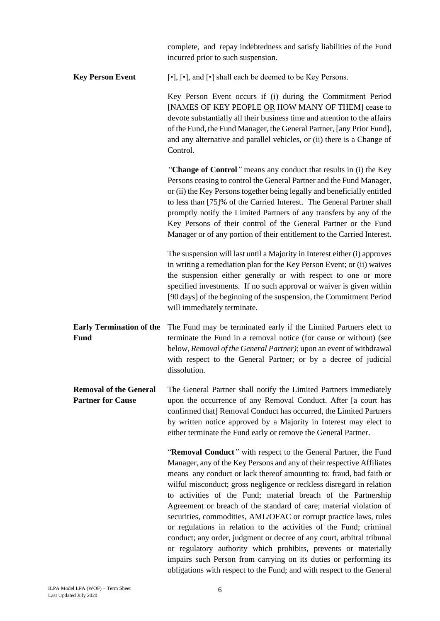|                                                           | complete, and repay indebtedness and satisfy liabilities of the Fund<br>incurred prior to such suspension.                                                                                                                                                                                                                                                                                                                                                                                                                                                                                                                                                                                                                                                                                                                                                             |
|-----------------------------------------------------------|------------------------------------------------------------------------------------------------------------------------------------------------------------------------------------------------------------------------------------------------------------------------------------------------------------------------------------------------------------------------------------------------------------------------------------------------------------------------------------------------------------------------------------------------------------------------------------------------------------------------------------------------------------------------------------------------------------------------------------------------------------------------------------------------------------------------------------------------------------------------|
| <b>Key Person Event</b>                                   | [•], [•], and [•] shall each be deemed to be Key Persons.                                                                                                                                                                                                                                                                                                                                                                                                                                                                                                                                                                                                                                                                                                                                                                                                              |
|                                                           | Key Person Event occurs if (i) during the Commitment Period<br>[NAMES OF KEY PEOPLE OR HOW MANY OF THEM] cease to<br>devote substantially all their business time and attention to the affairs<br>of the Fund, the Fund Manager, the General Partner, [any Prior Fund],<br>and any alternative and parallel vehicles, or (ii) there is a Change of<br>Control.                                                                                                                                                                                                                                                                                                                                                                                                                                                                                                         |
|                                                           | "Change of Control" means any conduct that results in (i) the Key<br>Persons ceasing to control the General Partner and the Fund Manager,<br>or (ii) the Key Persons together being legally and beneficially entitled<br>to less than [75]% of the Carried Interest. The General Partner shall<br>promptly notify the Limited Partners of any transfers by any of the<br>Key Persons of their control of the General Partner or the Fund<br>Manager or of any portion of their entitlement to the Carried Interest.                                                                                                                                                                                                                                                                                                                                                    |
|                                                           | The suspension will last until a Majority in Interest either (i) approves<br>in writing a remediation plan for the Key Person Event; or (ii) waives<br>the suspension either generally or with respect to one or more<br>specified investments. If no such approval or waiver is given within<br>[90 days] of the beginning of the suspension, the Commitment Period<br>will immediately terminate.                                                                                                                                                                                                                                                                                                                                                                                                                                                                    |
| <b>Early Termination of the</b><br><b>Fund</b>            | The Fund may be terminated early if the Limited Partners elect to<br>terminate the Fund in a removal notice (for cause or without) (see<br>below, Removal of the General Partner); upon an event of withdrawal<br>with respect to the General Partner; or by a decree of judicial<br>dissolution.                                                                                                                                                                                                                                                                                                                                                                                                                                                                                                                                                                      |
| <b>Removal of the General</b><br><b>Partner for Cause</b> | The General Partner shall notify the Limited Partners immediately<br>upon the occurrence of any Removal Conduct. After [a court has<br>confirmed that] Removal Conduct has occurred, the Limited Partners<br>by written notice approved by a Majority in Interest may elect to<br>either terminate the Fund early or remove the General Partner.                                                                                                                                                                                                                                                                                                                                                                                                                                                                                                                       |
|                                                           | "Removal Conduct" with respect to the General Partner, the Fund<br>Manager, any of the Key Persons and any of their respective Affiliates<br>means any conduct or lack thereof amounting to: fraud, bad faith or<br>wilful misconduct; gross negligence or reckless disregard in relation<br>to activities of the Fund; material breach of the Partnership<br>Agreement or breach of the standard of care; material violation of<br>securities, commodities, AML/OFAC or corrupt practice laws, rules<br>or regulations in relation to the activities of the Fund; criminal<br>conduct; any order, judgment or decree of any court, arbitral tribunal<br>or regulatory authority which prohibits, prevents or materially<br>impairs such Person from carrying on its duties or performing its<br>obligations with respect to the Fund; and with respect to the General |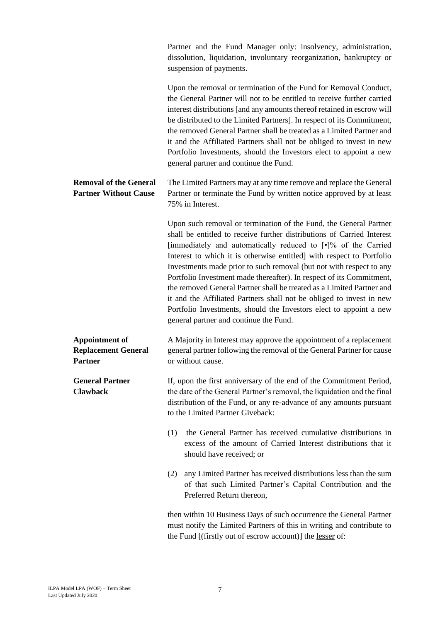|                                                                       | Partner and the Fund Manager only: insolvency, administration,<br>dissolution, liquidation, involuntary reorganization, bankruptcy or<br>suspension of payments.                                                                                                                                                                                                                                                                                                                                                                                                                                                                                                                                      |
|-----------------------------------------------------------------------|-------------------------------------------------------------------------------------------------------------------------------------------------------------------------------------------------------------------------------------------------------------------------------------------------------------------------------------------------------------------------------------------------------------------------------------------------------------------------------------------------------------------------------------------------------------------------------------------------------------------------------------------------------------------------------------------------------|
|                                                                       | Upon the removal or termination of the Fund for Removal Conduct,<br>the General Partner will not to be entitled to receive further carried<br>interest distributions [and any amounts thereof retained in escrow will<br>be distributed to the Limited Partners]. In respect of its Commitment,<br>the removed General Partner shall be treated as a Limited Partner and<br>it and the Affiliated Partners shall not be obliged to invest in new<br>Portfolio Investments, should the Investors elect to appoint a new<br>general partner and continue the Fund.                                                                                                                                      |
| <b>Removal of the General</b><br><b>Partner Without Cause</b>         | The Limited Partners may at any time remove and replace the General<br>Partner or terminate the Fund by written notice approved by at least<br>75% in Interest.                                                                                                                                                                                                                                                                                                                                                                                                                                                                                                                                       |
|                                                                       | Upon such removal or termination of the Fund, the General Partner<br>shall be entitled to receive further distributions of Carried Interest<br>[immediately and automatically reduced to [.]% of the Carried<br>Interest to which it is otherwise entitled] with respect to Portfolio<br>Investments made prior to such removal (but not with respect to any<br>Portfolio Investment made thereafter). In respect of its Commitment,<br>the removed General Partner shall be treated as a Limited Partner and<br>it and the Affiliated Partners shall not be obliged to invest in new<br>Portfolio Investments, should the Investors elect to appoint a new<br>general partner and continue the Fund. |
| <b>Appointment of</b><br><b>Replacement General</b><br><b>Partner</b> | A Majority in Interest may approve the appointment of a replacement<br>general partner following the removal of the General Partner for cause<br>or without cause.                                                                                                                                                                                                                                                                                                                                                                                                                                                                                                                                    |
| <b>General Partner</b><br><b>Clawback</b>                             | If, upon the first anniversary of the end of the Commitment Period,<br>the date of the General Partner's removal, the liquidation and the final<br>distribution of the Fund, or any re-advance of any amounts pursuant<br>to the Limited Partner Giveback:                                                                                                                                                                                                                                                                                                                                                                                                                                            |
|                                                                       | the General Partner has received cumulative distributions in<br>(1)<br>excess of the amount of Carried Interest distributions that it<br>should have received; or                                                                                                                                                                                                                                                                                                                                                                                                                                                                                                                                     |
|                                                                       | any Limited Partner has received distributions less than the sum<br>(2)<br>of that such Limited Partner's Capital Contribution and the<br>Preferred Return thereon,                                                                                                                                                                                                                                                                                                                                                                                                                                                                                                                                   |
|                                                                       | then within 10 Business Days of such occurrence the General Partner<br>must notify the Limited Partners of this in writing and contribute to<br>the Fund [(firstly out of escrow account)] the lesser of:                                                                                                                                                                                                                                                                                                                                                                                                                                                                                             |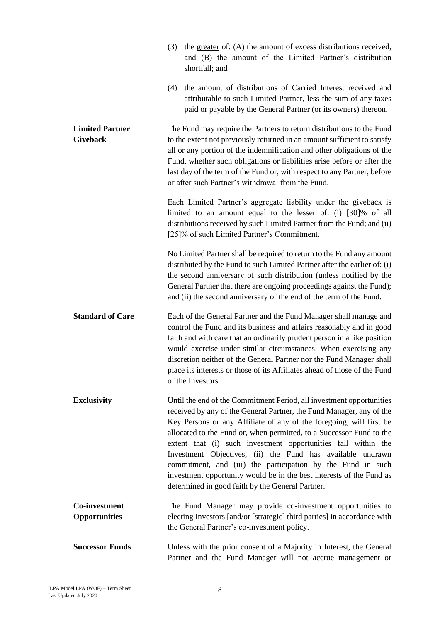|                                           | (3) | the greater of: (A) the amount of excess distributions received,<br>and (B) the amount of the Limited Partner's distribution<br>shortfall; and                                                                                                                                                                                                                                                                                                                                                                                                                                                                        |
|-------------------------------------------|-----|-----------------------------------------------------------------------------------------------------------------------------------------------------------------------------------------------------------------------------------------------------------------------------------------------------------------------------------------------------------------------------------------------------------------------------------------------------------------------------------------------------------------------------------------------------------------------------------------------------------------------|
|                                           | (4) | the amount of distributions of Carried Interest received and<br>attributable to such Limited Partner, less the sum of any taxes<br>paid or payable by the General Partner (or its owners) thereon.                                                                                                                                                                                                                                                                                                                                                                                                                    |
| <b>Limited Partner</b><br><b>Giveback</b> |     | The Fund may require the Partners to return distributions to the Fund<br>to the extent not previously returned in an amount sufficient to satisfy<br>all or any portion of the indemnification and other obligations of the<br>Fund, whether such obligations or liabilities arise before or after the<br>last day of the term of the Fund or, with respect to any Partner, before<br>or after such Partner's withdrawal from the Fund.                                                                                                                                                                               |
|                                           |     | Each Limited Partner's aggregate liability under the giveback is<br>limited to an amount equal to the lesser of: (i) [30]% of all<br>distributions received by such Limited Partner from the Fund; and (ii)<br>[25]% of such Limited Partner's Commitment.                                                                                                                                                                                                                                                                                                                                                            |
|                                           |     | No Limited Partner shall be required to return to the Fund any amount<br>distributed by the Fund to such Limited Partner after the earlier of: (i)<br>the second anniversary of such distribution (unless notified by the<br>General Partner that there are ongoing proceedings against the Fund);<br>and (ii) the second anniversary of the end of the term of the Fund.                                                                                                                                                                                                                                             |
| <b>Standard of Care</b>                   |     | Each of the General Partner and the Fund Manager shall manage and<br>control the Fund and its business and affairs reasonably and in good<br>faith and with care that an ordinarily prudent person in a like position<br>would exercise under similar circumstances. When exercising any<br>discretion neither of the General Partner nor the Fund Manager shall<br>place its interests or those of its Affiliates ahead of those of the Fund<br>of the Investors.                                                                                                                                                    |
| <b>Exclusivity</b>                        |     | Until the end of the Commitment Period, all investment opportunities<br>received by any of the General Partner, the Fund Manager, any of the<br>Key Persons or any Affiliate of any of the foregoing, will first be<br>allocated to the Fund or, when permitted, to a Successor Fund to the<br>extent that (i) such investment opportunities fall within the<br>Investment Objectives, (ii) the Fund has available undrawn<br>commitment, and (iii) the participation by the Fund in such<br>investment opportunity would be in the best interests of the Fund as<br>determined in good faith by the General Partner. |
| Co-investment<br><b>Opportunities</b>     |     | The Fund Manager may provide co-investment opportunities to<br>electing Investors [and/or [strategic] third parties] in accordance with<br>the General Partner's co-investment policy.                                                                                                                                                                                                                                                                                                                                                                                                                                |
| <b>Successor Funds</b>                    |     | Unless with the prior consent of a Majority in Interest, the General<br>Partner and the Fund Manager will not accrue management or                                                                                                                                                                                                                                                                                                                                                                                                                                                                                    |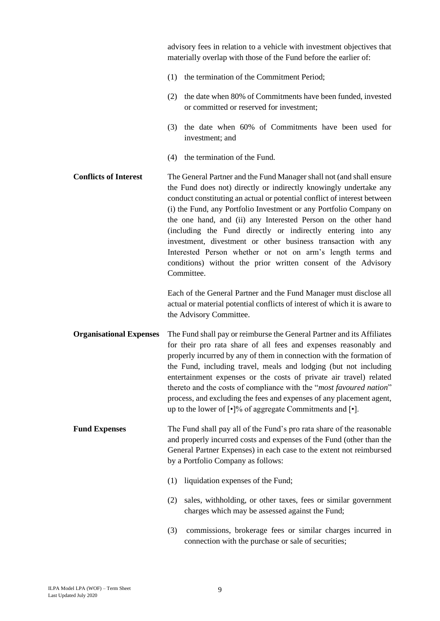advisory fees in relation to a vehicle with investment objectives that materially overlap with those of the Fund before the earlier of:

- (1) the termination of the Commitment Period;
- (2) the date when 80% of Commitments have been funded, invested or committed or reserved for investment;
- (3) the date when 60% of Commitments have been used for investment; and
- (4) the termination of the Fund.
- **Conflicts of Interest** The General Partner and the Fund Manager shall not (and shall ensure the Fund does not) directly or indirectly knowingly undertake any conduct constituting an actual or potential conflict of interest between (i) the Fund, any Portfolio Investment or any Portfolio Company on the one hand, and (ii) any Interested Person on the other hand (including the Fund directly or indirectly entering into any investment, divestment or other business transaction with any Interested Person whether or not on arm's length terms and conditions) without the prior written consent of the Advisory Committee.

Each of the General Partner and the Fund Manager must disclose all actual or material potential conflicts of interest of which it is aware to the Advisory Committee.

- **Organisational Expenses** The Fund shall pay or reimburse the General Partner and its Affiliates for their pro rata share of all fees and expenses reasonably and properly incurred by any of them in connection with the formation of the Fund, including travel, meals and lodging (but not including entertainment expenses or the costs of private air travel) related thereto and the costs of compliance with the "*most favoured nation*" process, and excluding the fees and expenses of any placement agent, up to the lower of [•]% of aggregate Commitments and [•].
- **Fund Expenses** The Fund shall pay all of the Fund's pro rata share of the reasonable and properly incurred costs and expenses of the Fund (other than the General Partner Expenses) in each case to the extent not reimbursed by a Portfolio Company as follows:
	- (1) liquidation expenses of the Fund;
	- (2) sales, withholding, or other taxes, fees or similar government charges which may be assessed against the Fund;
	- (3) commissions, brokerage fees or similar charges incurred in connection with the purchase or sale of securities;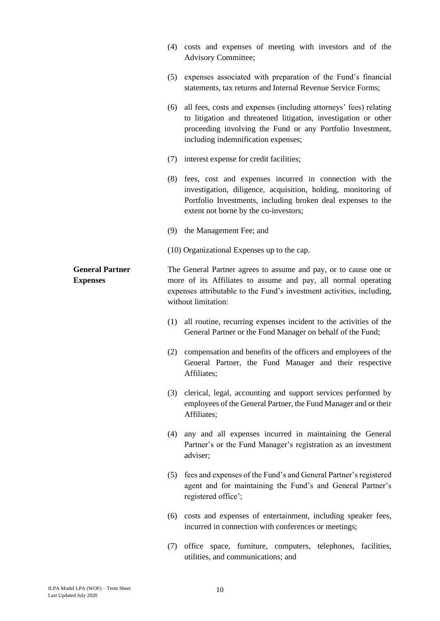|                                           | (4) | costs and expenses of meeting with investors and of the<br><b>Advisory Committee;</b>                                                                                                                                                         |
|-------------------------------------------|-----|-----------------------------------------------------------------------------------------------------------------------------------------------------------------------------------------------------------------------------------------------|
|                                           | (5) | expenses associated with preparation of the Fund's financial<br>statements, tax returns and Internal Revenue Service Forms;                                                                                                                   |
|                                           |     | (6) all fees, costs and expenses (including attorneys' fees) relating<br>to litigation and threatened litigation, investigation or other<br>proceeding involving the Fund or any Portfolio Investment,<br>including indemnification expenses; |
|                                           |     | (7) interest expense for credit facilities;                                                                                                                                                                                                   |
|                                           |     | (8) fees, cost and expenses incurred in connection with the<br>investigation, diligence, acquisition, holding, monitoring of<br>Portfolio Investments, including broken deal expenses to the<br>extent not borne by the co-investors;         |
|                                           |     | (9) the Management Fee; and                                                                                                                                                                                                                   |
|                                           |     | (10) Organizational Expenses up to the cap.                                                                                                                                                                                                   |
| <b>General Partner</b><br><b>Expenses</b> |     | The General Partner agrees to assume and pay, or to cause one or<br>more of its Affiliates to assume and pay, all normal operating<br>expenses attributable to the Fund's investment activities, including,<br>without limitation:            |
|                                           | (1) | all routine, recurring expenses incident to the activities of the<br>General Partner or the Fund Manager on behalf of the Fund;                                                                                                               |
|                                           |     | (2) compensation and benefits of the officers and employees of the<br>General Partner, the Fund Manager and their respective<br>Affiliates;                                                                                                   |
|                                           | (3) | clerical, legal, accounting and support services performed by<br>employees of the General Partner, the Fund Manager and or their<br>Affiliates;                                                                                               |
|                                           | (4) | any and all expenses incurred in maintaining the General<br>Partner's or the Fund Manager's registration as an investment<br>adviser;                                                                                                         |
|                                           | (5) | fees and expenses of the Fund's and General Partner's registered<br>agent and for maintaining the Fund's and General Partner's<br>registered office';                                                                                         |
|                                           |     | (6) costs and expenses of entertainment, including speaker fees,<br>incurred in connection with conferences or meetings;                                                                                                                      |
|                                           | (7) | office space, furniture, computers, telephones, facilities,<br>utilities, and communications; and                                                                                                                                             |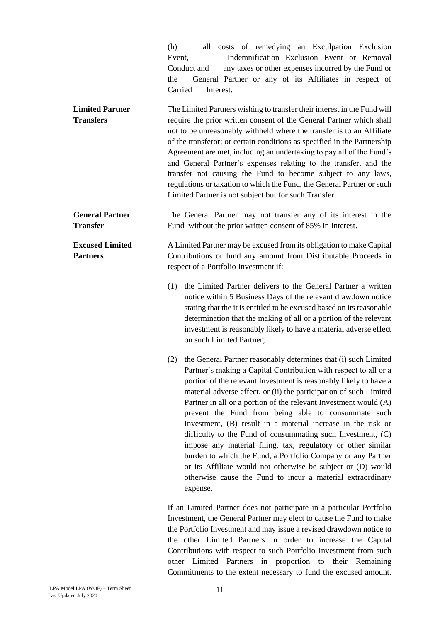|                                            | all costs of remedying an Exculpation Exclusion<br>(h)<br>Indemnification Exclusion Event or Removal<br>Event,<br>any taxes or other expenses incurred by the Fund or<br>Conduct and<br>General Partner or any of its Affiliates in respect of<br>the<br>Carried<br>Interest.                                                                                                                                                                                                                                                                                                                                                                                                                                                                                                                                             |
|--------------------------------------------|---------------------------------------------------------------------------------------------------------------------------------------------------------------------------------------------------------------------------------------------------------------------------------------------------------------------------------------------------------------------------------------------------------------------------------------------------------------------------------------------------------------------------------------------------------------------------------------------------------------------------------------------------------------------------------------------------------------------------------------------------------------------------------------------------------------------------|
| <b>Limited Partner</b><br><b>Transfers</b> | The Limited Partners wishing to transfer their interest in the Fund will<br>require the prior written consent of the General Partner which shall<br>not to be unreasonably withheld where the transfer is to an Affiliate<br>of the transferor; or certain conditions as specified in the Partnership<br>Agreement are met, including an undertaking to pay all of the Fund's<br>and General Partner's expenses relating to the transfer, and the<br>transfer not causing the Fund to become subject to any laws,<br>regulations or taxation to which the Fund, the General Partner or such<br>Limited Partner is not subject but for such Transfer.                                                                                                                                                                      |
| <b>General Partner</b><br><b>Transfer</b>  | The General Partner may not transfer any of its interest in the<br>Fund without the prior written consent of 85% in Interest.                                                                                                                                                                                                                                                                                                                                                                                                                                                                                                                                                                                                                                                                                             |
| <b>Excused Limited</b><br><b>Partners</b>  | A Limited Partner may be excused from its obligation to make Capital<br>Contributions or fund any amount from Distributable Proceeds in<br>respect of a Portfolio Investment if:                                                                                                                                                                                                                                                                                                                                                                                                                                                                                                                                                                                                                                          |
|                                            | the Limited Partner delivers to the General Partner a written<br>(1)<br>notice within 5 Business Days of the relevant drawdown notice<br>stating that the it is entitled to be excused based on its reasonable<br>determination that the making of all or a portion of the relevant<br>investment is reasonably likely to have a material adverse effect<br>on such Limited Partner;                                                                                                                                                                                                                                                                                                                                                                                                                                      |
|                                            | the General Partner reasonably determines that (i) such Limited<br>(2)<br>Partner's making a Capital Contribution with respect to all or a<br>portion of the relevant Investment is reasonably likely to have a<br>material adverse effect, or (ii) the participation of such Limited<br>Partner in all or a portion of the relevant Investment would (A)<br>prevent the Fund from being able to consummate such<br>Investment, (B) result in a material increase in the risk or<br>difficulty to the Fund of consummating such Investment, (C)<br>impose any material filing, tax, regulatory or other similar<br>burden to which the Fund, a Portfolio Company or any Partner<br>or its Affiliate would not otherwise be subject or (D) would<br>otherwise cause the Fund to incur a material extraordinary<br>expense. |
|                                            | If an Limited Partner does not participate in a particular Portfolio<br>Investment, the General Partner may elect to cause the Fund to make<br>the Portfolio Investment and may issue a revised drawdown notice to<br>the other Limited Partners in order to increase the Capital<br>Contributions with respect to such Portfolio Investment from such                                                                                                                                                                                                                                                                                                                                                                                                                                                                    |

other Limited Partners in proportion to their Remaining Commitments to the extent necessary to fund the excused amount.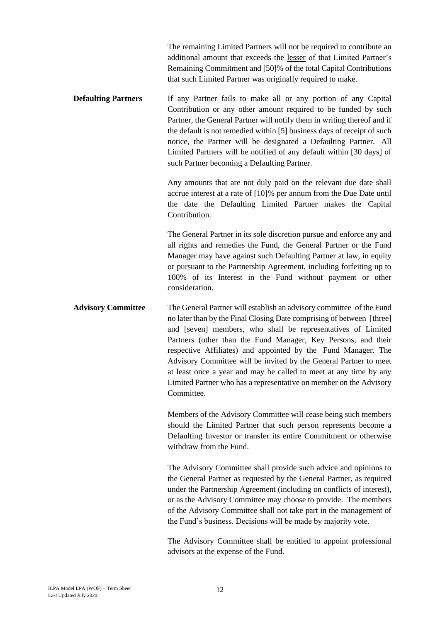The remaining Limited Partners will not be required to contribute an additional amount that exceeds the lesser of that Limited Partner's Remaining Commitment and [50]% of the total Capital Contributions that such Limited Partner was originally required to make.

**Defaulting Partners** If any Partner fails to make all or any portion of any Capital Contribution or any other amount required to be funded by such Partner, the General Partner will notify them in writing thereof and if the default is not remedied within [5] business days of receipt of such notice, the Partner will be designated a Defaulting Partner. All Limited Partners will be notified of any default within [30 days] of such Partner becoming a Defaulting Partner.

> Any amounts that are not duly paid on the relevant due date shall accrue interest at a rate of [10]% per annum from the Due Date until the date the Defaulting Limited Partner makes the Capital Contribution.

> The General Partner in its sole discretion pursue and enforce any and all rights and remedies the Fund, the General Partner or the Fund Manager may have against such Defaulting Partner at law, in equity or pursuant to the Partnership Agreement, including forfeiting up to 100% of its Interest in the Fund without payment or other consideration.

**Advisory Committee** The General Partner will establish an advisory committee of the Fund no later than by the Final Closing Date comprising of between [three] and [seven] members, who shall be representatives of Limited Partners (other than the Fund Manager, Key Persons, and their respective Affiliates) and appointed by the Fund Manager. The Advisory Committee will be invited by the General Partner to meet at least once a year and may be called to meet at any time by any Limited Partner who has a representative on member on the Advisory **Committee** 

> Members of the Advisory Committee will cease being such members should the Limited Partner that such person represents become a Defaulting Investor or transfer its entire Commitment or otherwise withdraw from the Fund.

> The Advisory Committee shall provide such advice and opinions to the General Partner as requested by the General Partner, as required under the Partnership Agreement (including on conflicts of interest), or as the Advisory Committee may choose to provide. The members of the Advisory Committee shall not take part in the management of the Fund's business. Decisions will be made by majority vote.

> The Advisory Committee shall be entitled to appoint professional advisors at the expense of the Fund.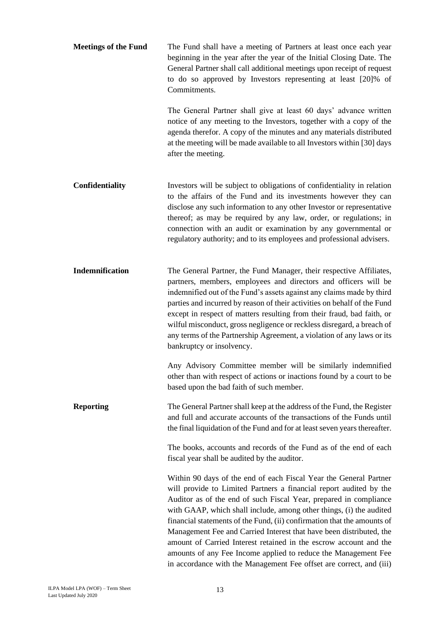**Meetings of the Fund** The Fund shall have a meeting of Partners at least once each year beginning in the year after the year of the Initial Closing Date. The General Partner shall call additional meetings upon receipt of request to do so approved by Investors representing at least [20]% of **Commitments** 

> The General Partner shall give at least 60 days' advance written notice of any meeting to the Investors, together with a copy of the agenda therefor. A copy of the minutes and any materials distributed at the meeting will be made available to all Investors within [30] days after the meeting.

- **Confidentiality** Investors will be subject to obligations of confidentiality in relation to the affairs of the Fund and its investments however they can disclose any such information to any other Investor or representative thereof; as may be required by any law, order, or regulations; in connection with an audit or examination by any governmental or regulatory authority; and to its employees and professional advisers.
- **Indemnification** The General Partner, the Fund Manager, their respective Affiliates, partners, members, employees and directors and officers will be indemnified out of the Fund's assets against any claims made by third parties and incurred by reason of their activities on behalf of the Fund except in respect of matters resulting from their fraud, bad faith, or wilful misconduct, gross negligence or reckless disregard, a breach of any terms of the Partnership Agreement, a violation of any laws or its bankruptcy or insolvency.

Any Advisory Committee member will be similarly indemnified other than with respect of actions or inactions found by a court to be based upon the bad faith of such member.

**Reporting** The General Partner shall keep at the address of the Fund, the Register and full and accurate accounts of the transactions of the Funds until the final liquidation of the Fund and for at least seven years thereafter.

> The books, accounts and records of the Fund as of the end of each fiscal year shall be audited by the auditor.

> Within 90 days of the end of each Fiscal Year the General Partner will provide to Limited Partners a financial report audited by the Auditor as of the end of such Fiscal Year, prepared in compliance with GAAP, which shall include, among other things, (i) the audited financial statements of the Fund, (ii) confirmation that the amounts of Management Fee and Carried Interest that have been distributed, the amount of Carried Interest retained in the escrow account and the amounts of any Fee Income applied to reduce the Management Fee in accordance with the Management Fee offset are correct, and (iii)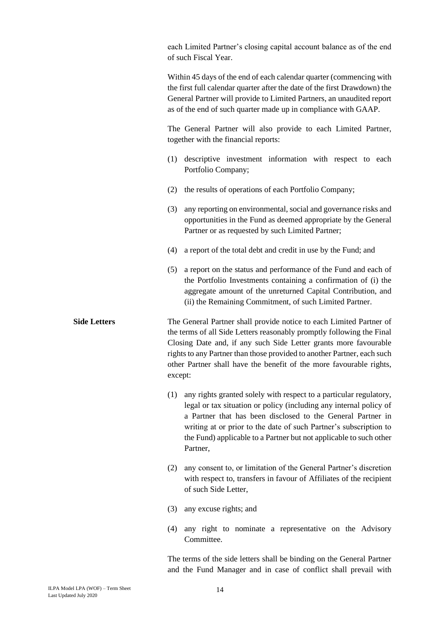each Limited Partner's closing capital account balance as of the end of such Fiscal Year.

Within 45 days of the end of each calendar quarter (commencing with the first full calendar quarter after the date of the first Drawdown) the General Partner will provide to Limited Partners, an unaudited report as of the end of such quarter made up in compliance with GAAP.

The General Partner will also provide to each Limited Partner, together with the financial reports:

- (1) descriptive investment information with respect to each Portfolio Company;
- (2) the results of operations of each Portfolio Company;
- (3) any reporting on environmental, social and governance risks and opportunities in the Fund as deemed appropriate by the General Partner or as requested by such Limited Partner;
- (4) a report of the total debt and credit in use by the Fund; and
- (5) a report on the status and performance of the Fund and each of the Portfolio Investments containing a confirmation of (i) the aggregate amount of the unreturned Capital Contribution, and (ii) the Remaining Commitment, of such Limited Partner.

**Side Letters** The General Partner shall provide notice to each Limited Partner of the terms of all Side Letters reasonably promptly following the Final Closing Date and, if any such Side Letter grants more favourable rights to any Partner than those provided to another Partner, each such other Partner shall have the benefit of the more favourable rights, except:

- (1) any rights granted solely with respect to a particular regulatory, legal or tax situation or policy (including any internal policy of a Partner that has been disclosed to the General Partner in writing at or prior to the date of such Partner's subscription to the Fund) applicable to a Partner but not applicable to such other Partner,
- (2) any consent to, or limitation of the General Partner's discretion with respect to, transfers in favour of Affiliates of the recipient of such Side Letter,
- (3) any excuse rights; and
- (4) any right to nominate a representative on the Advisory **Committee**

The terms of the side letters shall be binding on the General Partner and the Fund Manager and in case of conflict shall prevail with